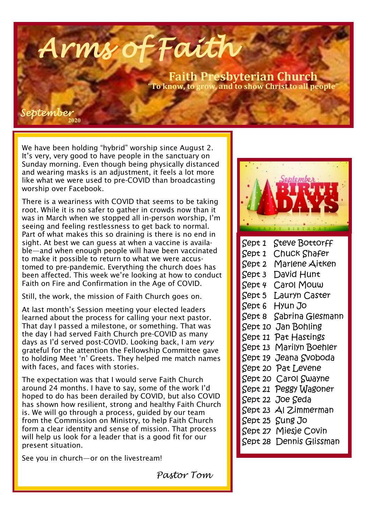**Faith Presbyterian Church "To know, to grow, and to show Christ to all people"** 

*September* 

**2020**

We have been holding "hybrid" worship since August 2. It's very, very good to have people in the sanctuary on Sunday morning. Even though being physically distanced and wearing masks is an adjustment, it feels a lot more like what we were used to pre-COVID than broadcasting worship over Facebook.

*Arms of Faith* 

There is a weariness with COVID that seems to be taking root. While it is no safer to gather in crowds now than it was in March when we stopped all in-person worship, I'm seeing and feeling restlessness to get back to normal. Part of what makes this so draining is there is no end in sight. At best we can guess at when a vaccine is available—and when enough people will have been vaccinated to make it possible to return to what we were accustomed to pre-pandemic. Everything the church does has been affected. This week we're looking at how to conduct Faith on Fire and Confirmation in the Age of COVID.

Still, the work, the mission of Faith Church goes on.

At last month's Session meeting your elected leaders learned about the process for calling your next pastor. That day I passed a milestone, or something. That was the day I had served Faith Church pre-COVID as many days as I'd served post-COVID. Looking back, I am *very*  grateful for the attention the Fellowship Committee gave to holding Meet 'n' Greets. They helped me match names with faces, and faces with stories.

The expectation was that I would serve Faith Church around 24 months. I have to say, some of the work I'd hoped to do has been derailed by COVID, but also COVID has shown how resilient, strong and healthy Faith Church is. We will go through a process, guided by our team from the Commission on Ministry, to help Faith Church form a clear identity and sense of mission. That process will help us look for a leader that is a good fit for our present situation.

See you in church—or on the livestream!



| Sept 1  | Steve Bottorff          |
|---------|-------------------------|
| Sept 1  | Chuck Shafer            |
| Sept 2  | Marlene Aitken          |
| Sept 3  | David Hunt              |
| Sept 4  | Carol Mouw              |
| Sept 5  | Lauryn Caster           |
| Sept 6  | Hyun Jo                 |
| Sept 8  | Sabrina Glesmann        |
| Sept 10 | Jan Bohling             |
| Sept 11 | Pat Hastings            |
|         | Sept 13 Marilyn Boehler |
|         | Sept 19 Jeana Svoboda   |
|         | Sept 20 Pat Levene      |
|         | Sept 20 Carol Swayne    |
| Sept 21 | Peggy Wagoner           |
|         | Sept 22 Joe Seda        |
|         | Sept 23 Al Zimmerman    |
|         | Sept 25 Sung Jo         |
|         | Sept 27 Miesje Covin    |
|         | Sept 28 Dennis Glissman |

*Pastor Tom*